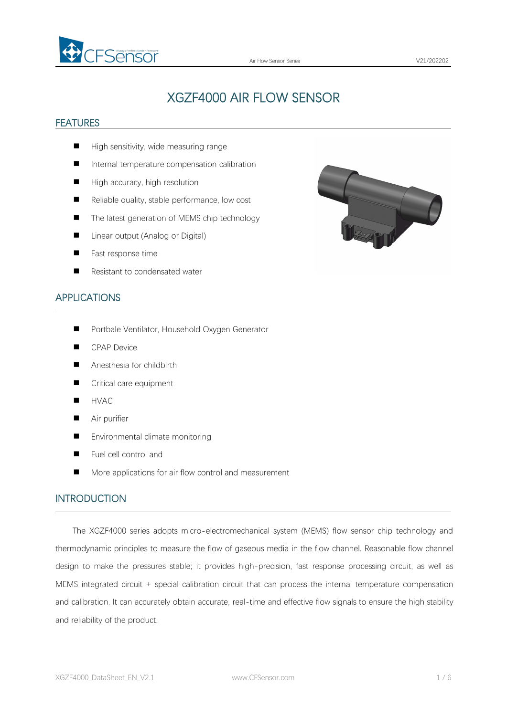

# XGZF4000 AIR FLOW SENSOR

#### FEATURES

- High sensitivity, wide measuring range
- Internal temperature compensation calibration
- $\blacksquare$  High accuracy, high resolution
- $\blacksquare$  Reliable quality, stable performance, low cost
- The latest generation of MEMS chip technology
- Linear output (Analog or Digital)
- **Fast response time**
- Resistant to condensated water



#### APPLICATIONS

- **Portbale Ventilator, Household Oxygen Generator**
- **CPAP Device**
- Anesthesia for childbirth
- Critical care equipment
- **HVAC**
- **Air purifier**
- Environmental climate monitoring
- Fuel cell control and
- More applications for air flow control and measurement

#### INTRODUCTION

The XGZF4000 series adopts micro-electromechanical system (MEMS) flow sensor chip technology and thermodynamic principles to measure the flow of gaseous media in the flow channel. Reasonable flow channel design to make the pressures stable; it provides high-precision, fast response processing circuit, as well as MEMS integrated circuit + special calibration circuit that can process the internal temperature compensation and calibration. It can accurately obtain accurate, real-time and effective flow signals to ensure the high stability and reliability of the product.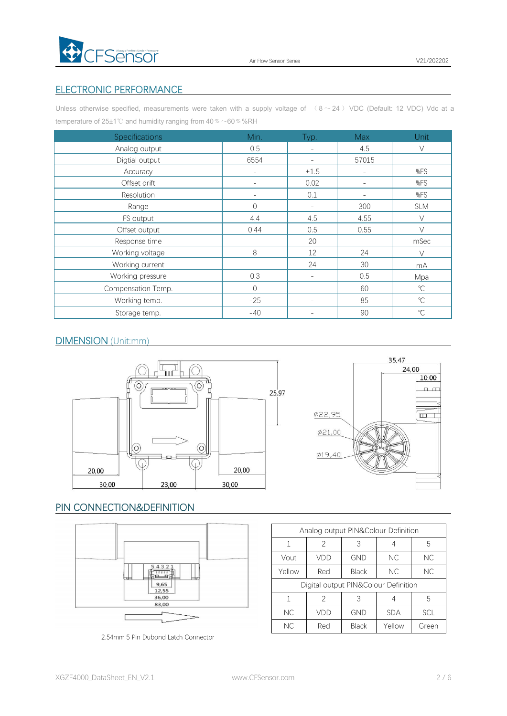

### ELECTRONIC PERFORMANCE

Unless otherwise specified, measurements were taken with a supply voltage of  $( 8 \sim 24$  ) VDC (Default: 12 VDC) Vdc at a temperature of 25±1℃ and humidity ranging from 40 % ~60 % %RH

| <b>Specifications</b> | Min.                     | Typ.                     | Max                      | <b>Unit</b>  |
|-----------------------|--------------------------|--------------------------|--------------------------|--------------|
| Analog output         | 0.5                      | $\overline{\phantom{a}}$ | 4.5                      | V            |
| Digtial output        | 6554                     | $\sim$                   | 57015                    |              |
| Accuracy              | $\overline{\phantom{0}}$ | ±1.5                     | $\overline{\phantom{a}}$ | %FS          |
| Offset drift          | $\overline{\phantom{a}}$ | 0.02                     | $\overline{\phantom{a}}$ | %FS          |
| Resolution            | $\overline{\phantom{a}}$ | 0.1                      | $\overline{\phantom{0}}$ | %FS          |
| Range                 | $\bigcirc$               | $\overline{\phantom{a}}$ | 300                      | <b>SLM</b>   |
| FS output             | 4.4                      | 4.5                      | 4.55                     | $\vee$       |
| Offset output         | 0.44                     | 0.5                      | 0.55                     | $\vee$       |
| Response time         |                          | 20                       |                          | mSec         |
| Working voltage       | 8                        | 12                       | 24                       | $\vee$       |
| Working current       |                          | 24                       | 30                       | mA           |
| Working pressure      | 0.3                      | $\overline{\phantom{a}}$ | 0.5                      | Mpa          |
| Compensation Temp.    | $\Omega$                 | $\overline{\phantom{a}}$ | 60                       | $^{\circ}$ C |
| Working temp.         | $-25$                    | $\overline{\phantom{a}}$ | 85                       | $^{\circ}$ C |
| Storage temp.         | $-40$                    | $\overline{\phantom{a}}$ | 90                       | $^{\circ}C$  |

#### DIMENSION (Unit:mm)





### PIN CONNECTION&DEFINITION



2.54mm 5 Pin Dubond Latch Connector

|        | Analog output PIN&Colour Definition  |              |            |            |
|--------|--------------------------------------|--------------|------------|------------|
| 1      | 2                                    | 3            | 4          | 5          |
| Vout   | VDD                                  | <b>GND</b>   | NC         | NC         |
| Yellow | Red                                  | <b>Black</b> | NC<br>NC.  |            |
|        | Digital output PIN&Colour Definition |              |            |            |
| 1      | 2                                    | 3            | 4          | 5          |
| NC.    | VDD                                  | <b>GND</b>   | <b>SDA</b> | <b>SCL</b> |
| NC.    | Red                                  | <b>Black</b> | Yellow     | Green      |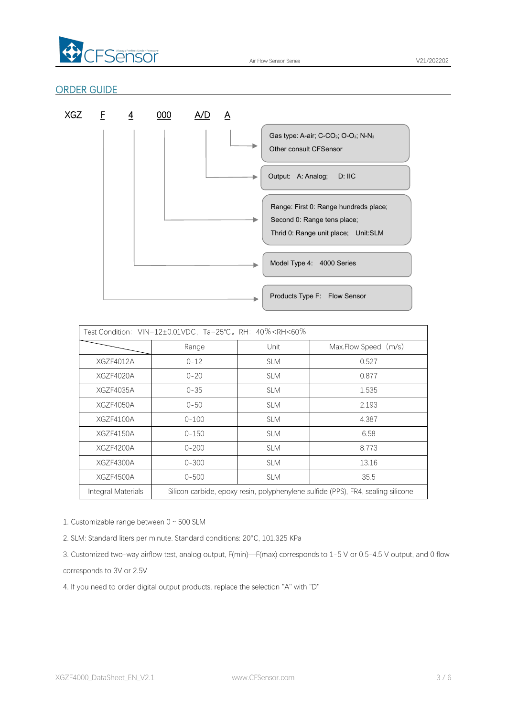

Air Flow Sensor Series **V21/202202** 

### ORDER GUIDE



|                    | Test Condition: VIN=12±0.01VDC, Ta=25℃。RH: 40% <rh<60%< th=""><th></th><th></th></rh<60%<> |            |                                                                                  |
|--------------------|--------------------------------------------------------------------------------------------|------------|----------------------------------------------------------------------------------|
|                    | Range                                                                                      | Unit       | Max.Flow Speed (m/s)                                                             |
| XGZF4012A          | $0 - 12$                                                                                   | <b>SLM</b> | 0.527                                                                            |
| XGZF4020A          | $0 - 20$                                                                                   | <b>SLM</b> | 0.877                                                                            |
| XGZF4035A          | $0 - 35$                                                                                   | <b>SLM</b> | 1.535                                                                            |
| XGZF4050A          | $0 - 50$                                                                                   | <b>SLM</b> | 2.193                                                                            |
| XGZF4100A          | $0 - 100$                                                                                  | <b>SLM</b> | 4.387                                                                            |
| XGZF4150A          | $0 - 150$                                                                                  | <b>SLM</b> | 6.58                                                                             |
| XGZF4200A          | $0 - 200$                                                                                  | <b>SLM</b> | 8.773                                                                            |
| XGZF4300A          | $0 - 300$                                                                                  | <b>SLM</b> | 13.16                                                                            |
| XGZF4500A          | $0 - 500$                                                                                  | <b>SLM</b> | 35.5                                                                             |
| Integral Materials |                                                                                            |            | Silicon carbide, epoxy resin, polyphenylene sulfide (PPS), FR4, sealing silicone |

1. Customizable range between 0~500 SLM

2. SLM: Standard liters per minute. Standard conditions: 20°C, 101.325 KPa

3. Customized two-way airflow test, analog output, F(min)—F(max) corresponds to 1-5 V or 0.5-4.5 V output, and 0 flow corresponds to 3V or 2.5V

4. If you need to order digital output products, replace the selection "A" with "D"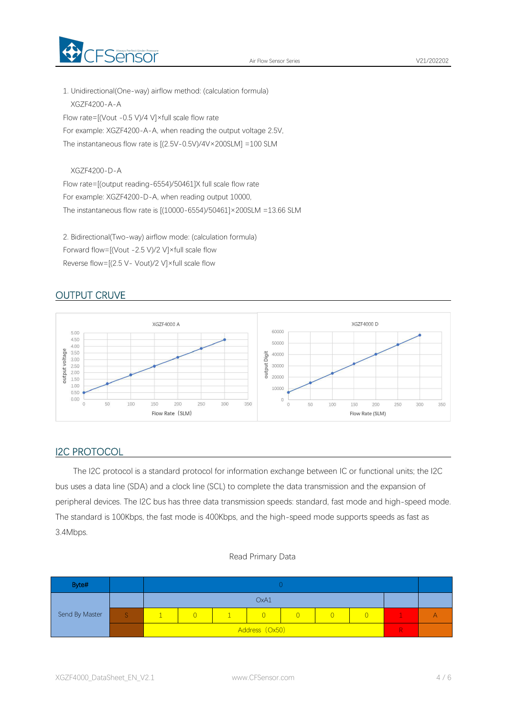

1. Unidirectional(One-way) airflow method: (calculation formula) XGZF4200-A-A Flow rate=[(Vout -0.5 V)/4 V]×full scale flow rate For example: XGZF4200-A-A, when reading the output voltage 2.5V, The instantaneous flow rate is [(2.5V-0.5V)/4V×200SLM] =100 SLM

XGZF4200-D-A

Flow rate=[(output reading-6554)/50461]X full scale flow rate For example: XGZF4200-D-A, when reading output 10000, The instantaneous flow rate is [(10000-6554)/50461]×200SLM =13.66 SLM

2. Bidirectional(Two-way) airflow mode: (calculation formula) Forward flow=[(Vout -2.5 V)/2 V]×full scale flow Reverse flow=[(2.5 V- Vout)/2 V]×full scale flow

### OUTPUT CRUVE



#### I2C PROTOCOL

The I2C protocol is a standard protocol for information exchange between IC or functional units; the I2C bus uses a data line (SDA) and a clock line (SCL) to complete the data transmission and the expansion of peripheral devices. The I2C bus has three data transmission speeds: standard, fast mode and high-speed mode. The standard is 100Kbps, the fast mode is 400Kbps, and the high-speed mode supports speeds as fastas 3.4Mbps.

#### Read Primary Data

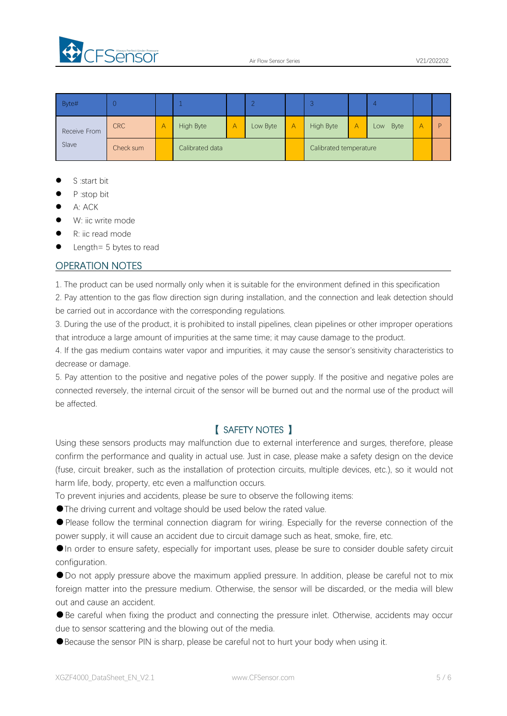

| Byte#        |            |                 |  | ∸                      | $\mathbf{A}$ |  | 4           |   |   |
|--------------|------------|-----------------|--|------------------------|--------------|--|-------------|---|---|
| Receive From | <b>CRC</b> | High Byte       |  | Low Byte               | High Byte    |  | Byte<br>Low | А | D |
| Slave        | Check sum  | Calibrated data |  | Calibrated temperature |              |  |             |   |   |

- S :start bit
- P :stop bit
- A: ACK
- W: iic write mode
- R: iic read mode
- Length= 5 bytes to read

#### OPERATION NOTES

1. The product can be used normally only when it is suitable for the environment defined in this specification

2. Pay attention to the gas flow direction sign during installation, and the connection and leak detection should be carried out in accordance with the corresponding regulations.

3. During the use of the product, it is prohibited to install pipelines, clean pipelines or other improper operations that introduce a large amount of impurities at the same time; it may cause damage to the product.

4. If the gas medium contains water vapor and impurities, it may cause the sensor's sensitivity characteristics to decrease or damage.

5. Pay attention to the positive and negative poles of the power supply. If the positive and negative poles are connected reversely, the internal circuit of the sensor will be burned out and the normal use of the product will be affected.

### 【 SAFETY NOTES 】

Using these sensors products may malfunction due to external interference and surges, therefore, please confirm the performance and quality in actual use. Just in case, please make a safety design on the device (fuse, circuit breaker, such as the installation of protection circuits, multiple devices, etc.), so it would not harm life, body, property, etc even a malfunction occurs.

To prevent injuries and accidents, please be sure to observe the following items:

●The driving current and voltage should be used below the rated value.

●Please follow the terminal connection diagram for wiring. Especially for the reverse connection of the power supply, it will cause an accident due to circuit damage such as heat, smoke, fire, etc.

●In order to ensure safety, especially for important uses, please be sure to consider double safety circuit configuration.

●Do not apply pressure above the maximum applied pressure. In addition, please be careful not to mix foreign matter into the pressure medium. Otherwise, the sensor will be discarded, or the media will blew out and cause an accident.<br>●Be careful when fixing the product and connecting the pressure inlet. Otherwise, accidents may occur

due to sensor scattering and the blowing out of the media.

●Because the sensor PIN is sharp, please be careful not to hurt your body when using it.